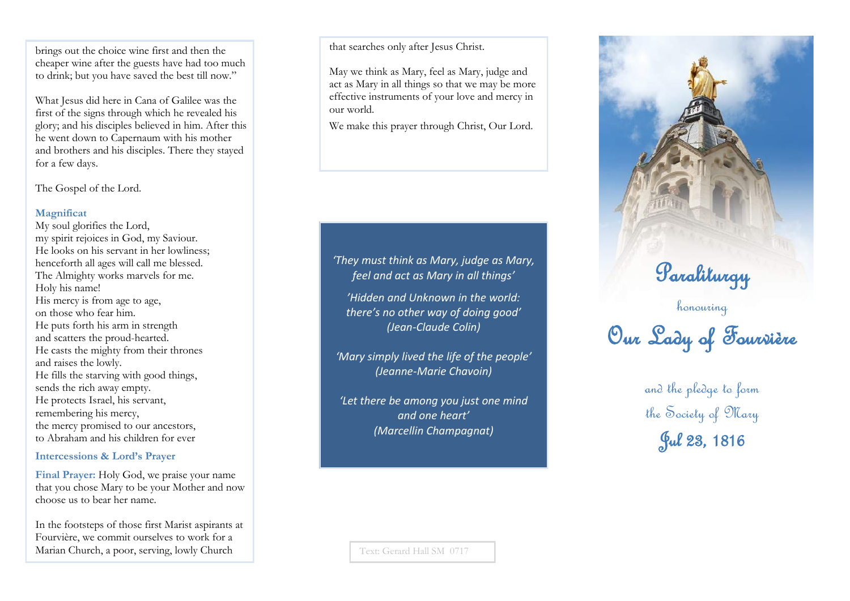brings out the choice wine first and then the cheaper wine after the guests have had too much to drink; but you have saved the best till now."

What Jesus did here in Cana of Galilee was the first of the signs through which he revealed his glory; and his disciples believed in him. After this he went down to Capernaum with his mother and brothers and his disciples. There they stayed for a few days.

The Gospel of the Lord.

#### **Magnificat**

My soul glorifies the Lord, my spirit rejoices in God, my Saviour. He looks on his servant in her lowliness; henceforth all ages will call me blessed. The Almighty works marvels for me. Holy his name! His mercy is from age to age, on those who fear him. He puts forth his arm in strength and scatters the proud -hearted. He casts the mighty from their thrones and raises the lowly. He fills the starving with good things, sends the rich away empty. He protects Israel, his servant, remembering his mercy, the mercy promised to our ancestors, to Abraham and his children for ever

### **Intercessions & Lord's Prayer**

**Final Prayer:** Holy God, we praise your name that you chose Mary to be your Mother and now choose us to bear her name.

In the footsteps of those first Marist aspirants at Fourvière, we commit ourselves to work for a Marian Church, a poor, serving, lowly Church

that searches only after Jesus Christ.

May we think as Mary, feel as Mary, judge and act as Mary in all things so that we may be more effective instruments of your love and mercy in our world.

We make this prayer through Christ, Our Lord.

*'They must think as Mary, judge as Mary, feel and act as Mary in all things'* 

*'Hidden and Unknown in the world: there 's no other way of doing good' (Jean -Claude Colin)*

*'Mary simply lived the life of the people ' (Jeanne -Marie Chavoin)* 

*'Let there be among you just one mind and one heart ' (Marcellin Champagnat)* 

Paraliturgy honouring

Our Lady of Fourvière

and the pledge to form the Society of Mary Jul 23, 1816

Text: Gerard Hall SM 0717